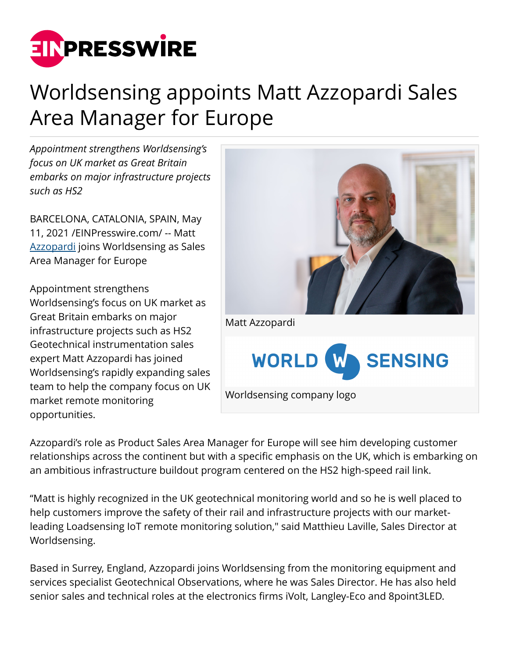

## Worldsensing appoints Matt Azzopardi Sales Area Manager for Europe

*Appointment strengthens Worldsensing's focus on UK market as Great Britain embarks on major infrastructure projects such as HS2*

BARCELONA, CATALONIA, SPAIN, May 11, 2021 /[EINPresswire.com/](http://www.einpresswire.com) -- Matt [Azzopardi](https://www.linkedin.com/in/matt-azzopardi-18949817/) joins Worldsensing as Sales Area Manager for Europe

Appointment strengthens Worldsensing's focus on UK market as Great Britain embarks on major infrastructure projects such as HS2 Geotechnical instrumentation sales expert Matt Azzopardi has joined Worldsensing's rapidly expanding sales team to help the company focus on UK market remote monitoring opportunities.



Azzopardi's role as Product Sales Area Manager for Europe will see him developing customer relationships across the continent but with a specific emphasis on the UK, which is embarking on an ambitious infrastructure buildout program centered on the HS2 high-speed rail link.

"Matt is highly recognized in the UK geotechnical monitoring world and so he is well placed to help customers improve the safety of their rail and infrastructure projects with our marketleading Loadsensing IoT remote monitoring solution," said Matthieu Laville, Sales Director at Worldsensing.

Based in Surrey, England, Azzopardi joins Worldsensing from the monitoring equipment and services specialist Geotechnical Observations, where he was Sales Director. He has also held senior sales and technical roles at the electronics firms iVolt, Langley-Eco and 8point3LED.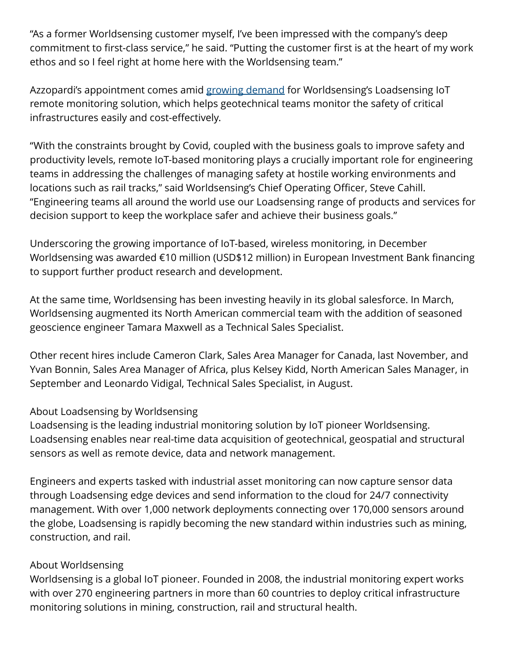"As a former Worldsensing customer myself, I've been impressed with the company's deep commitment to first-class service," he said. "Putting the customer first is at the heart of my work ethos and so I feel right at home here with the Worldsensing team."

Azzopardi's appointment comes amid [growing demand](https://www.worldsensing.com/news/coronavirus-one-year-on-how-our-business-has-weathered-the-pandemic/) for Worldsensing's Loadsensing IoT remote monitoring solution, which helps geotechnical teams monitor the safety of critical infrastructures easily and cost-effectively.

"With the constraints brought by Covid, coupled with the business goals to improve safety and productivity levels, remote IoT-based monitoring plays a crucially important role for engineering teams in addressing the challenges of managing safety at hostile working environments and locations such as rail tracks," said Worldsensing's Chief Operating Officer, Steve Cahill. "Engineering teams all around the world use our Loadsensing range of products and services for decision support to keep the workplace safer and achieve their business goals."

Underscoring the growing importance of IoT-based, wireless monitoring, in December Worldsensing was awarded €10 million (USD\$12 million) in European Investment Bank financing to support further product research and development.

At the same time, Worldsensing has been investing heavily in its global salesforce. In March, Worldsensing augmented its North American commercial team with the addition of seasoned geoscience engineer Tamara Maxwell as a Technical Sales Specialist.

Other recent hires include Cameron Clark, Sales Area Manager for Canada, last November, and Yvan Bonnin, Sales Area Manager of Africa, plus Kelsey Kidd, North American Sales Manager, in September and Leonardo Vidigal, Technical Sales Specialist, in August.

## About Loadsensing by Worldsensing

Loadsensing is the leading industrial monitoring solution by IoT pioneer Worldsensing. Loadsensing enables near real-time data acquisition of geotechnical, geospatial and structural sensors as well as remote device, data and network management.

Engineers and experts tasked with industrial asset monitoring can now capture sensor data through Loadsensing edge devices and send information to the cloud for 24/7 connectivity management. With over 1,000 network deployments connecting over 170,000 sensors around the globe, Loadsensing is rapidly becoming the new standard within industries such as mining, construction, and rail.

## About Worldsensing

Worldsensing is a global IoT pioneer. Founded in 2008, the industrial monitoring expert works with over 270 engineering partners in more than 60 countries to deploy critical infrastructure monitoring solutions in mining, construction, rail and structural health.